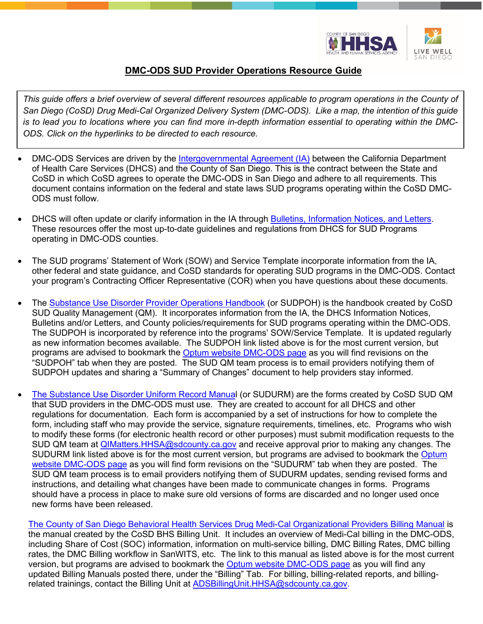

## **DMC-ODS SUD Provider Operations Resource Guide**

This guide offers a brief overview of several different resources applicable to program operations in the County of *San Diego (CoSD) Drug Medi-Cal Organized Delivery System (DMC-ODS). Like a map, the intention of this guide is to lead you to locations where you can find more in-depth information essential to operating within the DMC-ODS. Click on the hyperlinks to be directed to each resource.*

- DMC-ODS Services are driven by the [Intergovernmental Agreement \(IA\)](https://www.optumsandiego.com/content/dam/san-diego/documents/dmc-ods/manuals/County_of_San_Diego_DMC-ODS_Intergovernmental_Agreement_Contract_2019.pdf) between the California Department of Health Care Services (DHCS) and the County of San Diego. This is the contract between the State and CoSD in which CoSD agrees to operate the DMC-ODS in San Diego and adhere to all requirements. This document contains information on the federal and state laws SUD programs operating within the CoSD DMC-ODS must follow.
- DHCS will often update or clarify information in the IA through [Bulletins, Information Notices, and Letters.](https://www.dhcs.ca.gov/formsandpubs/Pages/Letters.aspx) These resources offer the most up-to-date guidelines and regulations from DHCS for SUD Programs operating in DMC-ODS counties.
- The SUD programs' Statement of Work (SOW) and Service Template incorporate information from the IA, other federal and state guidance, and CoSD standards for operating SUD programs in the DMC-ODS. Contact your program's Contracting Officer Representative (COR) when you have questions about these documents.
- The [Substance Use Disorder Provider Operations Handbook](https://www.optumsandiego.com/content/sandiego/en/county-staff---providers/dmc-ods.html) (or SUDPOH) is the handbook created by CoSD SUD Quality Management (QM). It incorporates information from the IA, the DHCS Information Notices, Bulletins and/or Letters, and County policies/requirements for SUD programs operating within the DMC-ODS. The SUDPOH is incorporated by reference into the programs' SOW/Service Template. It is updated regularly as new information becomes available. The SUDPOH link listed above is for the most current version, but programs are advised to bookmark the [Optum website DMC-ODS page](https://www.optumsandiego.com/content/sandiego/en/county-staff---providers/dmc-ods.html) as you will find revisions on the "SUDPOH" tab when they are posted. The SUD QM team process is to email providers notifying them of SUDPOH updates and sharing a "Summary of Changes" document to help providers stay informed.
- [The Substance Use Disorder Uniform Record Manual](https://www.optumsandiego.com/content/sandiego/en/county-staff---providers/dmc-ods.html) (or SUDURM) are the forms created by CoSD SUD QM that SUD providers in the DMC-ODS must use. They are created to account for all DHCS and other regulations for documentation. Each form is accompanied by a set of instructions for how to complete the form, including staff who may provide the service, signature requirements, timelines, etc. Programs who wish to modify these forms (for electronic health record or other purposes) must submit modification requests to the SUD QM team at [QIMatters.HHSA@sdcounty.ca.gov](mailto:QIMatters.HHSA@sdcounty.ca.gov) and receive approval prior to making any changes. The SUDURM link listed above is for the most current version, but programs are advised to bookmark the Optum [website DMC-ODS page](https://www.optumsandiego.com/content/sandiego/en/county-staff---providers/dmc-ods.html) as you will find form revisions on the "SUDURM" tab when they are posted. The SUD QM team process is to email providers notifying them of SUDURM updates, sending revised forms and instructions, and detailing what changes have been made to communicate changes in forms. Programs should have a process in place to make sure old versions of forms are discarded and no longer used once new forms have been released.

[The County of San Diego Behavioral Health Services Drug Medi-Cal Organizational Providers Billing Manual](https://www.optumsandiego.com/content/dam/san-diego/documents/dmc-ods/billing/DMC%20ORGANIZATIONAL%20PROVIDERS%20BILLING%20MANUAL_revised%20102020.pdf) is the manual created by the CoSD BHS Billing Unit. It includes an overview of Medi-Cal billing in the DMC-ODS, including Share of Cost (SOC) information, information on multi-service billing, DMC Billing Rates, DMC billing rates, the DMC Billing workflow in SanWITS, etc. The link to this manual as listed above is for the most current version, but programs are advised to bookmark the [Optum website DMC-ODS page](https://www.optumsandiego.com/content/sandiego/en/county-staff---providers/dmc-ods.html) as you will find any updated Billing Manuals posted there, under the "Billing" Tab. For billing, billing-related reports, and billingrelated trainings, contact the Billing Unit at [ADSBillingUnit.HHSA@sdcounty.ca.gov.](mailto:ADSBillingUnit.HHSA@sdcounty.ca.gov)